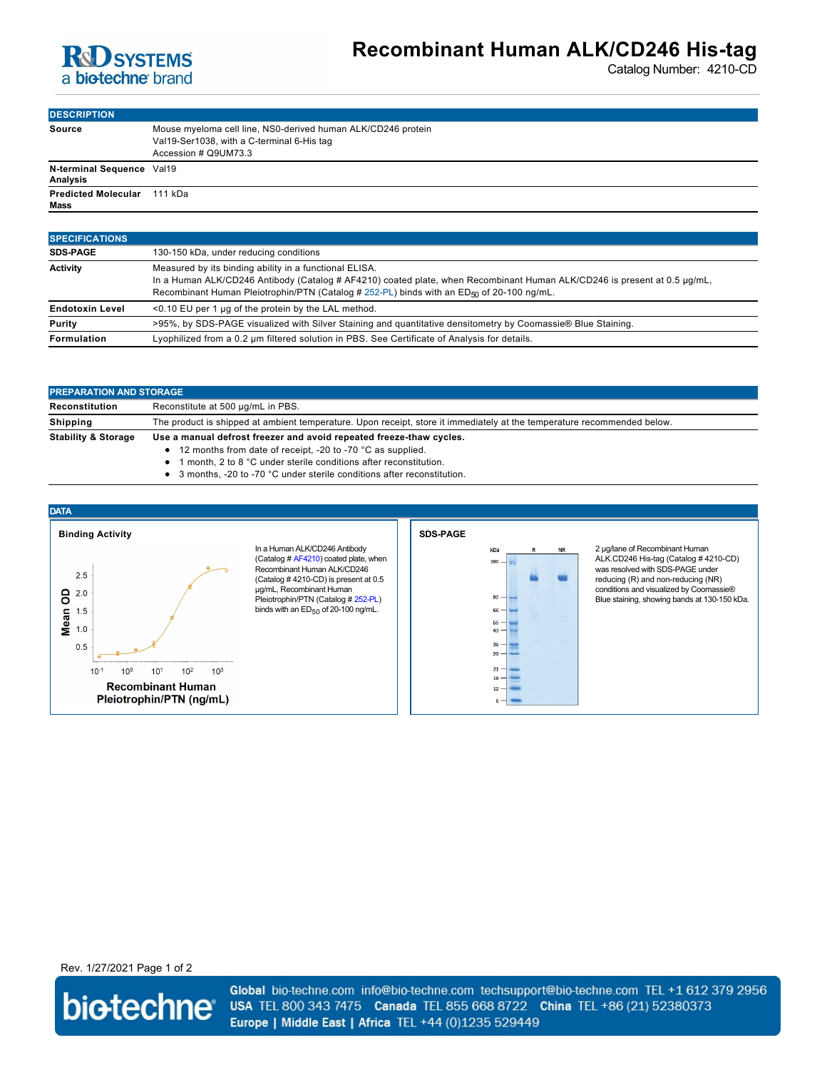

Catalog Number: 4210-CD

| <b>DESCRIPTION</b>          |                                                              |
|-----------------------------|--------------------------------------------------------------|
| <b>Source</b>               | Mouse myeloma cell line, NS0-derived human ALK/CD246 protein |
|                             | Val19-Ser1038, with a C-terminal 6-His tag                   |
|                             | Accession # Q9UM73.3                                         |
| N-terminal Sequence Val19   |                                                              |
| <b>Analysis</b>             |                                                              |
| Predicted Molecular 111 kDa |                                                              |
| Mass                        |                                                              |

| <b>ISPECIFICATIONS</b> |                                                                                                                                                                                                                                                                                             |
|------------------------|---------------------------------------------------------------------------------------------------------------------------------------------------------------------------------------------------------------------------------------------------------------------------------------------|
| <b>SDS-PAGE</b>        | 130-150 kDa, under reducing conditions                                                                                                                                                                                                                                                      |
| <b>Activity</b>        | Measured by its binding ability in a functional ELISA.<br>In a Human ALK/CD246 Antibody (Catalog # AF4210) coated plate, when Recombinant Human ALK/CD246 is present at 0.5 µq/mL,<br>Recombinant Human Pleiotrophin/PTN (Catalog # 252-PL) binds with an ED <sub>50</sub> of 20-100 ng/mL. |
| <b>Endotoxin Level</b> | <0.10 EU per 1 µg of the protein by the LAL method.                                                                                                                                                                                                                                         |
| Purity                 | >95%, by SDS-PAGE visualized with Silver Staining and quantitative densitometry by Coomassie® Blue Staining.                                                                                                                                                                                |
| <b>Formulation</b>     | Lyophilized from a 0.2 um filtered solution in PBS. See Certificate of Analysis for details.                                                                                                                                                                                                |

| <b>PREPARATION AND STORAGE</b> |                                                                                                                         |
|--------------------------------|-------------------------------------------------------------------------------------------------------------------------|
| Reconstitution                 | Reconstitute at 500 µg/mL in PBS.                                                                                       |
| <b>Shipping</b>                | The product is shipped at ambient temperature. Upon receipt, store it immediately at the temperature recommended below. |
| <b>Stability &amp; Storage</b> | Use a manual defrost freezer and avoid repeated freeze-thaw cycles.                                                     |
|                                | • 12 months from date of receipt, -20 to -70 °C as supplied.                                                            |
|                                | month, 2 to 8 °C under sterile conditions after reconstitution.                                                         |
|                                | 3 months, -20 to -70 °C under sterile conditions after reconstitution.                                                  |



Rev. 1/27/2021 Page 1 of 2



Global bio-techne.com info@bio-techne.com techsupport@bio-techne.com TEL +1 612 379 2956 USA TEL 800 343 7475 Canada TEL 855 668 8722 China TEL +86 (21) 52380373 Europe | Middle East | Africa TEL +44 (0)1235 529449